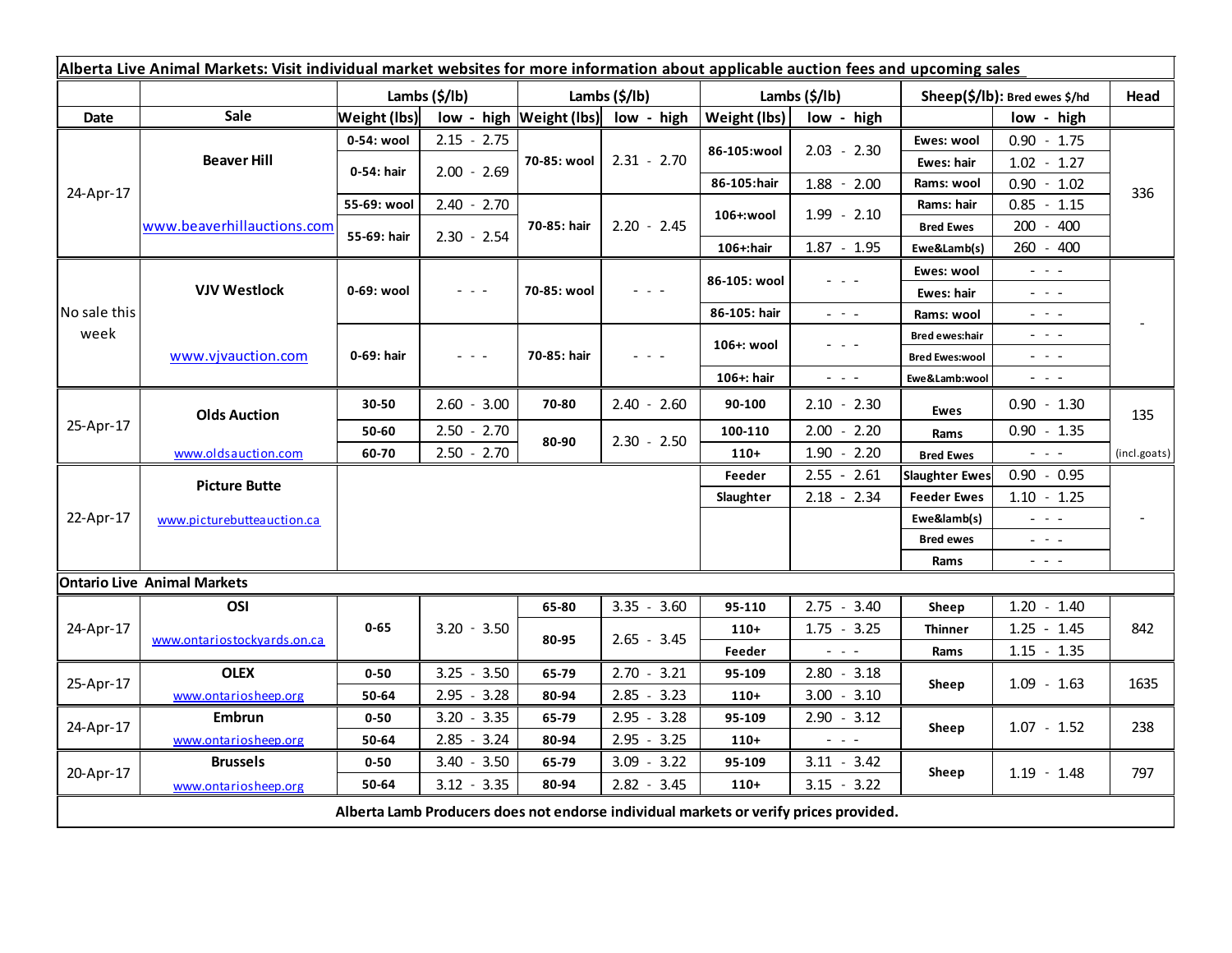| Alberta Live Animal Markets: Visit individual market websites for more information about applicable auction fees and upcoming sales |                             |                     |               |                             |               |               |                                                                                                                                                                                                                                                                                                                                                                                                                                                |                               |                                                                                                                           |              |
|-------------------------------------------------------------------------------------------------------------------------------------|-----------------------------|---------------------|---------------|-----------------------------|---------------|---------------|------------------------------------------------------------------------------------------------------------------------------------------------------------------------------------------------------------------------------------------------------------------------------------------------------------------------------------------------------------------------------------------------------------------------------------------------|-------------------------------|---------------------------------------------------------------------------------------------------------------------------|--------------|
|                                                                                                                                     |                             | Lambs (\$/lb)       |               | Lambs (\$/lb)               |               | Lambs (\$/lb) |                                                                                                                                                                                                                                                                                                                                                                                                                                                | Sheep(\$/lb): Bred ewes \$/hd |                                                                                                                           | Head         |
| Date                                                                                                                                | <b>Sale</b>                 | <b>Weight (lbs)</b> |               | $low - high$   Weight (lbs) | low - high    | Weight (lbs)  | low - high                                                                                                                                                                                                                                                                                                                                                                                                                                     |                               | low - high                                                                                                                |              |
| 24-Apr-17                                                                                                                           | <b>Beaver Hill</b>          | 0-54: wool          | $2.15 - 2.75$ | 70-85: wool                 | $2.31 - 2.70$ | 86-105:wool   | $2.03 - 2.30$                                                                                                                                                                                                                                                                                                                                                                                                                                  | Ewes: wool                    | $0.90 - 1.75$                                                                                                             | 336          |
|                                                                                                                                     |                             | 0-54: hair          | $2.00 - 2.69$ |                             |               |               |                                                                                                                                                                                                                                                                                                                                                                                                                                                | Ewes: hair                    | $1.02 - 1.27$                                                                                                             |              |
|                                                                                                                                     |                             |                     |               |                             |               | 86-105:hair   | $1.88 - 2.00$                                                                                                                                                                                                                                                                                                                                                                                                                                  | Rams: wool                    | $0.90 - 1.02$                                                                                                             |              |
|                                                                                                                                     | www.beaverhillauctions.com  | 55-69: wool         | $2.40 - 2.70$ | 70-85: hair                 | $2.20 - 2.45$ | 106+:wool     | $1.99 - 2.10$                                                                                                                                                                                                                                                                                                                                                                                                                                  | Rams: hair                    | $0.85 - 1.15$                                                                                                             |              |
|                                                                                                                                     |                             | 55-69: hair         | $2.30 - 2.54$ |                             |               |               |                                                                                                                                                                                                                                                                                                                                                                                                                                                | <b>Bred Ewes</b>              | $200 - 400$                                                                                                               |              |
|                                                                                                                                     |                             |                     |               |                             |               | 106+:hair     | $1.87 - 1.95$                                                                                                                                                                                                                                                                                                                                                                                                                                  | Ewe&Lamb(s)                   | 260 - 400                                                                                                                 |              |
| No sale this<br>week                                                                                                                | <b>VJV Westlock</b>         | 0-69: wool          |               | 70-85: wool                 |               | 86-105: wool  |                                                                                                                                                                                                                                                                                                                                                                                                                                                | Ewes: wool                    | - - -                                                                                                                     |              |
|                                                                                                                                     |                             |                     |               |                             |               |               |                                                                                                                                                                                                                                                                                                                                                                                                                                                | Ewes: hair                    | - - -                                                                                                                     |              |
|                                                                                                                                     |                             |                     |               |                             |               | 86-105: hair  | $\omega_{\rm{eff}}$ and $\omega_{\rm{eff}}$                                                                                                                                                                                                                                                                                                                                                                                                    | Rams: wool                    | $\sim$ 10 $\sim$                                                                                                          |              |
|                                                                                                                                     | www.vjvauction.com          | 0-69: hair          | - - -         | 70-85: hair                 |               | 106+: wool    |                                                                                                                                                                                                                                                                                                                                                                                                                                                | Bred ewes:hair                | - - -                                                                                                                     |              |
|                                                                                                                                     |                             |                     |               |                             |               |               |                                                                                                                                                                                                                                                                                                                                                                                                                                                | <b>Bred Ewes:wool</b>         | - - -                                                                                                                     |              |
|                                                                                                                                     |                             |                     |               |                             |               | 106+: hair    | $\frac{1}{2} \left( \frac{1}{2} \right) \left( \frac{1}{2} \right) \left( \frac{1}{2} \right) \left( \frac{1}{2} \right)$                                                                                                                                                                                                                                                                                                                      | Ewe&Lamb:wool                 | $\sim$ 10 $\sim$                                                                                                          |              |
| 25-Apr-17                                                                                                                           | <b>Olds Auction</b>         | 30-50               | $2.60 - 3.00$ | 70-80                       | $2.40 - 2.60$ | 90-100        | $2.10 - 2.30$                                                                                                                                                                                                                                                                                                                                                                                                                                  | <b>Ewes</b>                   | $0.90 - 1.30$                                                                                                             | 135          |
|                                                                                                                                     |                             | 50-60               | $2.50 - 2.70$ | 80-90                       | $2.30 - 2.50$ | 100-110       | $2.00 - 2.20$                                                                                                                                                                                                                                                                                                                                                                                                                                  | Rams                          | $0.90 - 1.35$                                                                                                             |              |
|                                                                                                                                     | www.oldsauction.com         | 60-70               | $2.50 - 2.70$ |                             |               | $110+$        | $1.90 - 2.20$                                                                                                                                                                                                                                                                                                                                                                                                                                  | <b>Bred Ewes</b>              | $\sim$ $\sim$ $\sim$                                                                                                      | (incl.goats) |
| 22-Apr-17                                                                                                                           | <b>Picture Butte</b>        |                     |               |                             |               | Feeder        | $2.55 - 2.61$                                                                                                                                                                                                                                                                                                                                                                                                                                  | <b>Slaughter Ewes</b>         | $0.90 - 0.95$                                                                                                             |              |
|                                                                                                                                     | www.picturebutteauction.ca  |                     |               |                             |               |               | $2.18 - 2.34$                                                                                                                                                                                                                                                                                                                                                                                                                                  | <b>Feeder Ewes</b>            | $1.10 - 1.25$                                                                                                             |              |
|                                                                                                                                     |                             |                     |               |                             |               |               | Ewe&lamb(s)                                                                                                                                                                                                                                                                                                                                                                                                                                    |                               | $\frac{1}{2} \left( \frac{1}{2} \right) \left( \frac{1}{2} \right) \left( \frac{1}{2} \right) \left( \frac{1}{2} \right)$ |              |
|                                                                                                                                     |                             |                     |               |                             |               |               |                                                                                                                                                                                                                                                                                                                                                                                                                                                | <b>Bred ewes</b>              | $\frac{1}{2} \left( \frac{1}{2} \right) \left( \frac{1}{2} \right) \left( \frac{1}{2} \right) \left( \frac{1}{2} \right)$ |              |
|                                                                                                                                     |                             |                     |               |                             |               |               |                                                                                                                                                                                                                                                                                                                                                                                                                                                | Rams                          | $\frac{1}{2} \left( \frac{1}{2} \right) = \frac{1}{2} \left( \frac{1}{2} \right)$                                         |              |
| <b>Ontario Live Animal Markets</b>                                                                                                  |                             |                     |               |                             |               |               |                                                                                                                                                                                                                                                                                                                                                                                                                                                |                               |                                                                                                                           |              |
| 24-Apr-17                                                                                                                           | OSI                         |                     | $3.20 - 3.50$ | 65-80                       | $3.35 - 3.60$ | 95-110        | $2.75 - 3.40$                                                                                                                                                                                                                                                                                                                                                                                                                                  | Sheep                         | $1.20 - 1.40$                                                                                                             | 842          |
|                                                                                                                                     | www.ontariostockyards.on.ca | $0 - 65$            |               | 80-95                       | $2.65 - 3.45$ | $110+$        | $1.75 - 3.25$                                                                                                                                                                                                                                                                                                                                                                                                                                  | <b>Thinner</b>                | $1.25 - 1.45$                                                                                                             |              |
|                                                                                                                                     |                             |                     |               |                             |               | Feeder        | $\frac{1}{2} \left( \frac{1}{2} \right) + \frac{1}{2} \left( \frac{1}{2} \right) + \frac{1}{2} \left( \frac{1}{2} \right) + \frac{1}{2} \left( \frac{1}{2} \right) + \frac{1}{2} \left( \frac{1}{2} \right) + \frac{1}{2} \left( \frac{1}{2} \right) + \frac{1}{2} \left( \frac{1}{2} \right) + \frac{1}{2} \left( \frac{1}{2} \right) + \frac{1}{2} \left( \frac{1}{2} \right) + \frac{1}{2} \left( \frac{1}{2} \right) + \frac{1}{2} \left($ | Rams                          | $1.15 - 1.35$                                                                                                             |              |
| 25-Apr-17                                                                                                                           | <b>OLEX</b>                 | $0 - 50$            | $3.25 - 3.50$ | 65-79                       | $2.70 - 3.21$ | 95-109        | $2.80 - 3.18$                                                                                                                                                                                                                                                                                                                                                                                                                                  | Sheep                         | $1.09 - 1.63$                                                                                                             | 1635         |
|                                                                                                                                     | www.ontariosheep.org        | 50-64               | $2.95 - 3.28$ | 80-94                       | $2.85 - 3.23$ | $110+$        | $3.00 - 3.10$                                                                                                                                                                                                                                                                                                                                                                                                                                  |                               |                                                                                                                           |              |
| 24-Apr-17                                                                                                                           | <b>Embrun</b>               | $0 - 50$            | $3.20 - 3.35$ | 65-79                       | $2.95 - 3.28$ | 95-109        | $2.90 - 3.12$                                                                                                                                                                                                                                                                                                                                                                                                                                  | Sheep                         | $1.07 - 1.52$                                                                                                             | 238          |
|                                                                                                                                     | www.ontariosheep.org        | 50-64               | $2.85 - 3.24$ | 80-94                       | $2.95 - 3.25$ | $110+$        | $\frac{1}{2} \left( \frac{1}{2} \right) \left( \frac{1}{2} \right) \left( \frac{1}{2} \right) \left( \frac{1}{2} \right)$                                                                                                                                                                                                                                                                                                                      |                               |                                                                                                                           |              |
| 20-Apr-17                                                                                                                           | <b>Brussels</b>             | $0 - 50$            | $3.40 - 3.50$ | 65-79                       | $3.09 - 3.22$ | 95-109        | $3.11 - 3.42$                                                                                                                                                                                                                                                                                                                                                                                                                                  | Sheep                         | $1.19 - 1.48$                                                                                                             | 797          |
|                                                                                                                                     | www.ontariosheep.org        | 50-64               | $3.12 - 3.35$ | 80-94                       | $2.82 - 3.45$ | $110+$        | $3.15 - 3.22$                                                                                                                                                                                                                                                                                                                                                                                                                                  |                               |                                                                                                                           |              |
| Alberta Lamb Producers does not endorse individual markets or verify prices provided.                                               |                             |                     |               |                             |               |               |                                                                                                                                                                                                                                                                                                                                                                                                                                                |                               |                                                                                                                           |              |